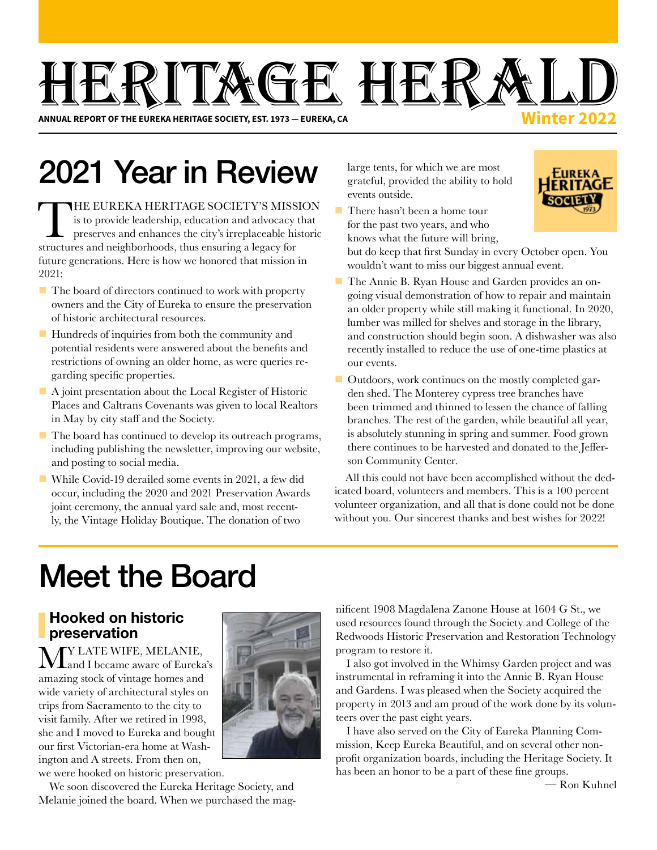# HEI RALD **Winter 2022**

**ANNUAL REPORT OF THE EUREKA HERITAGE SOCIETY, EST. 1973 — EUREKA, CA**

# 2021 Year in Review

THE EUREKA HERITAGE SOCIETY'S MISSION is to provide leadership, education and advocacy that preserves and enhances the city's irreplaceable historic structures and neighborhoods, thus ensuring a legacy for future generations. Here is how we honored that mission in 2021:

- $\blacksquare$  The board of directors continued to work with property owners and the City of Eureka to ensure the preservation of historic architectural resources.
- $\blacksquare$  Hundreds of inquiries from both the community and potential residents were answered about the benefits and restrictions of owning an older home, as were queries regarding specific properties.
- $\blacksquare$  A joint presentation about the Local Register of Historic Places and Caltrans Covenants was given to local Realtors in May by city staff and the Society.
- $\blacksquare$  The board has continued to develop its outreach programs, including publishing the newsletter, improving our website, and posting to social media.
- While Covid-19 derailed some events in 2021, a few did occur, including the 2020 and 2021 Preservation Awards joint ceremony, the annual yard sale and, most recently, the Vintage Holiday Boutique. The donation of two

large tents, for which we are most grateful, provided the ability to hold events outside.



 $\blacksquare$  There hasn't been a home tour for the past two years, and who knows what the future will bring,

but do keep that first Sunday in every October open. You wouldn't want to miss our biggest annual event.

- The Annie B. Ryan House and Garden provides an ongoing visual demonstration of how to repair and maintain an older property while still making it functional. In 2020, lumber was milled for shelves and storage in the library, and construction should begin soon. A dishwasher was also recently installed to reduce the use of one-time plastics at our events.
- $\blacksquare$  Outdoors, work continues on the mostly completed garden shed. The Monterey cypress tree branches have been trimmed and thinned to lessen the chance of falling branches. The rest of the garden, while beautiful all year, is absolutely stunning in spring and summer. Food grown there continues to be harvested and donated to the Jefferson Community Center.

All this could not have been accomplished without the dedicated board, volunteers and members. This is a 100 percent volunteer organization, and all that is done could not be done without you. Our sincerest thanks and best wishes for 2022!

# Meet the Board

## Hooked on historic preservation

**Y LATE WIFE, MELANIE,** and I became aware of Eureka's amazing stock of vintage homes and wide variety of architectural styles on trips from Sacramento to the city to visit family. After we retired in 1998, she and I moved to Eureka and bought our first Victorian-era home at Washington and A streets. From then on, we were hooked on historic preservation.

We soon discovered the Eureka Heritage Society, and Melanie joined the board. When we purchased the mag-



nificent 1908 Magdalena Zanone House at 1604 G St., we used resources found through the Society and College of the Redwoods Historic Preservation and Restoration Technology program to restore it.

I also got involved in the Whimsy Garden project and was instrumental in reframing it into the Annie B. Ryan House and Gardens. I was pleased when the Society acquired the property in 2013 and am proud of the work done by its volunteers over the past eight years.

I have also served on the City of Eureka Planning Commission, Keep Eureka Beautiful, and on several other nonprofit organization boards, including the Heritage Society. It has been an honor to be a part of these fine groups.

— Ron Kuhnel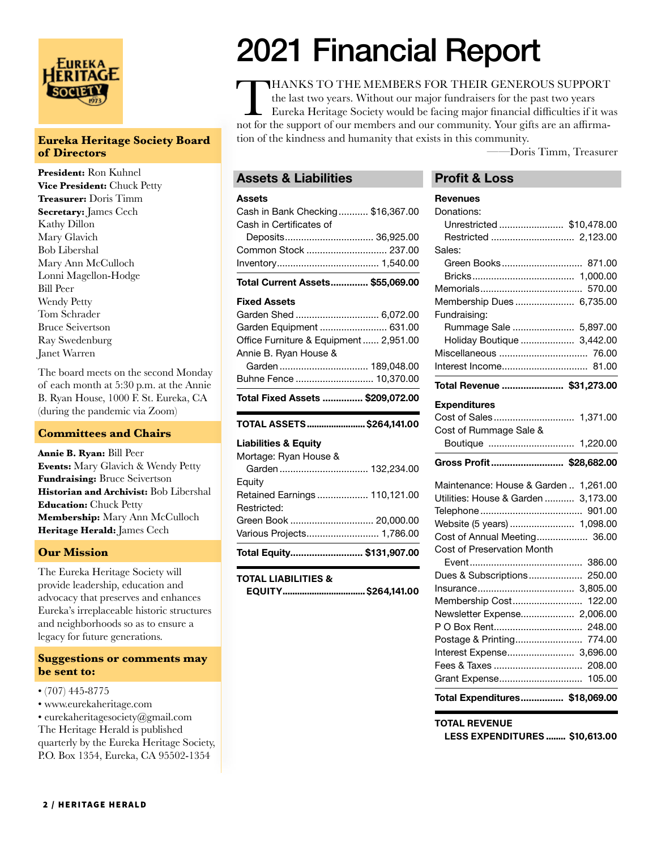

#### **Eureka Heritage Society Board of Directors**

**President:** Ron Kuhnel **Vice President:** Chuck Petty **Treasurer:** Doris Timm **Secretary:** James Cech Kathy Dillon Mary Glavich Bob Libershal Mary Ann McCulloch Lonni Magellon-Hodge Bill Peer Wendy Petty Tom Schrader Bruce Seivertson Ray Swedenburg Janet Warren

The board meets on the second Monday of each month at 5:30 p.m. at the Annie B. Ryan House, 1000 F. St. Eureka, CA (during the pandemic via Zoom)

#### **Committees and Chairs**

**Annie B. Ryan:** Bill Peer **Events:** Mary Glavich & Wendy Petty **Fundraising:** Bruce Seivertson **Historian and Archivist:** Bob Libershal **Education:** Chuck Petty **Membership:** Mary Ann McCulloch **Heritage Herald:** James Cech

#### **Our Mission**

The Eureka Heritage Society will provide leadership, education and advocacy that preserves and enhances Eureka's irreplaceable historic structures and neighborhoods so as to ensure a legacy for future generations.

#### **Suggestions or comments may be sent to:**

- (707) 445-8775
- www.eurekaheritage.com

• eurekaheritagesociety@gmail.com The Heritage Herald is published quarterly by the Eureka Heritage Society, P.O. Box 1354, Eureka, CA 95502-1354

# 2021 Financial Report

THANKS TO THE MEMBERS FOR THEIR GENEROUS SUPPORT<br>the last two years. Without our major fundraisers for the past two years<br>Eureka Heritage Society would be facing major financial difficulties if it was<br>not for the support o the last two years. Without our major fundraisers for the past two years Eureka Heritage Society would be facing major financial difficulties if it was not for the support of our members and our community. Your gifts are an affirmation of the kindness and humanity that exists in this community.

——Doris Timm, Treasurer

#### Assets & Liabilities

#### Assets

| Total Current Assets \$55,069.00  |  |
|-----------------------------------|--|
|                                   |  |
| Common Stock  237.00              |  |
|                                   |  |
| Cash in Certificates of           |  |
| Cash in Bank Checking \$16,367.00 |  |

#### Fixed Assets

| Garden Shed  6,072.00                  |  |
|----------------------------------------|--|
| Garden Equipment  631.00               |  |
| Office Furniture & Equipment  2,951.00 |  |
| Annie B. Ryan House &                  |  |
|                                        |  |
| Buhne Fence  10,370.00                 |  |
|                                        |  |

Total Fixed Assets ............... \$209,072.00

#### TOTAL ASSETS........................\$264,141.00

#### Liabilities & Equity

| Total Equity \$131,907.00     |  |
|-------------------------------|--|
| Various Projects 1,786.00     |  |
|                               |  |
| Restricted:                   |  |
| Retained Earnings  110,121.00 |  |
| Equity                        |  |
|                               |  |
| Mortage: Ryan House &         |  |

#### TOTAL LIABILITIES &

| EQUITY \$264,141.00 |  |
|---------------------|--|
|---------------------|--|

#### Profit & Loss

| <b>Revenues</b>                       |
|---------------------------------------|
| Donations:                            |
| Unrestricted  \$10,478.00             |
|                                       |
| Sales:                                |
| Green Books<br>871.00                 |
|                                       |
| 570.00                                |
| Membership Dues 6,735.00              |
| Fundraising:                          |
| Rummage Sale  5,897.00                |
| Holiday Boutique  3,442.00            |
|                                       |
|                                       |
| Total Revenue  \$31,273.00            |
| <b>Expenditures</b>                   |
|                                       |
| Cost of Rummage Sale &                |
|                                       |
|                                       |
|                                       |
| Gross Profit \$28,682.00              |
| Maintenance: House & Garden  1,261.00 |
| Utilities: House & Garden<br>3,173.00 |
|                                       |
|                                       |
| Cost of Annual Meeting 36.00          |
| Cost of Preservation Month            |
|                                       |
| Dues & Subscriptions 250.00           |
|                                       |
| Membership Cost<br>122.00             |
| Newsletter Expense 2,006.00           |
|                                       |
| Postage & Printing 774.00             |
| Interest Expense 3,696.00             |
| 208.00<br>Fees & Taxes                |
| Grant Expense 105.00                  |

#### TOTAL REVENUE

LESS EXPENDITURES ........ \$10,613.00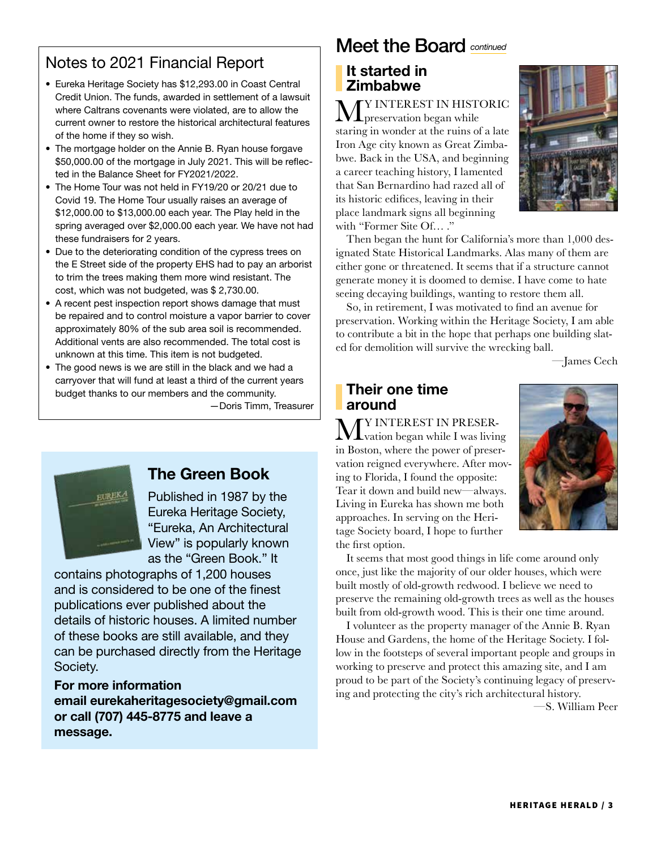# Notes to 2021 Financial Report

- Eureka Heritage Society has \$12,293.00 in Coast Central Credit Union. The funds, awarded in settlement of a lawsuit where Caltrans covenants were violated, are to allow the current owner to restore the historical architectural features of the home if they so wish.
- The mortgage holder on the Annie B. Ryan house forgave \$50,000.00 of the mortgage in July 2021. This will be reflected in the Balance Sheet for FY2021/2022.
- The Home Tour was not held in FY19/20 or 20/21 due to Covid 19. The Home Tour usually raises an average of \$12,000.00 to \$13,000.00 each year. The Play held in the spring averaged over \$2,000.00 each year. We have not had these fundraisers for 2 years.
- Due to the deteriorating condition of the cypress trees on the E Street side of the property EHS had to pay an arborist to trim the trees making them more wind resistant. The cost, which was not budgeted, was \$ 2,730.00.
- A recent pest inspection report shows damage that must be repaired and to control moisture a vapor barrier to cover approximately 80% of the sub area soil is recommended. Additional vents are also recommended. The total cost is unknown at this time. This item is not budgeted.
- The good news is we are still in the black and we had a carryover that will fund at least a third of the current years budget thanks to our members and the community.

—Doris Timm, Treasurer



# The Green Book

Published in 1987 by the Eureka Heritage Society, "Eureka, An Architectural View" is popularly known as the "Green Book." It

contains photographs of 1,200 houses and is considered to be one of the finest publications ever published about the details of historic houses. A limited number of these books are still available, and they can be purchased directly from the Heritage Society.

### For more information email eurekaheritagesociety@gmail.com or call (707) 445-8775 and leave a message.

# Meet the Board *continued*

## It started in **Zimbabwe**

**MY** INTEREST IN HISTORIC staring in wonder at the ruins of a late Iron Age city known as Great Zimbabwe. Back in the USA, and beginning a career teaching history, I lamented that San Bernardino had razed all of its historic edifices, leaving in their place landmark signs all beginning with "Former Site Of… ."



Then began the hunt for California's more than 1,000 designated State Historical Landmarks. Alas many of them are either gone or threatened. It seems that if a structure cannot generate money it is doomed to demise. I have come to hate seeing decaying buildings, wanting to restore them all.

So, in retirement, I was motivated to find an avenue for preservation. Working within the Heritage Society, I am able to contribute a bit in the hope that perhaps one building slated for demolition will survive the wrecking ball.

—James Cech

#### Their one time around

**MY** INTEREST IN PRESER-<br>Lyation began while I was living in Boston, where the power of preservation reigned everywhere. After moving to Florida, I found the opposite: Tear it down and build new—always. Living in Eureka has shown me both approaches. In serving on the Heritage Society board, I hope to further the first option.



It seems that most good things in life come around only once, just like the majority of our older houses, which were built mostly of old-growth redwood. I believe we need to preserve the remaining old-growth trees as well as the houses built from old-growth wood. This is their one time around.

I volunteer as the property manager of the Annie B. Ryan House and Gardens, the home of the Heritage Society. I follow in the footsteps of several important people and groups in working to preserve and protect this amazing site, and I am proud to be part of the Society's continuing legacy of preserving and protecting the city's rich architectural history. —S. William Peer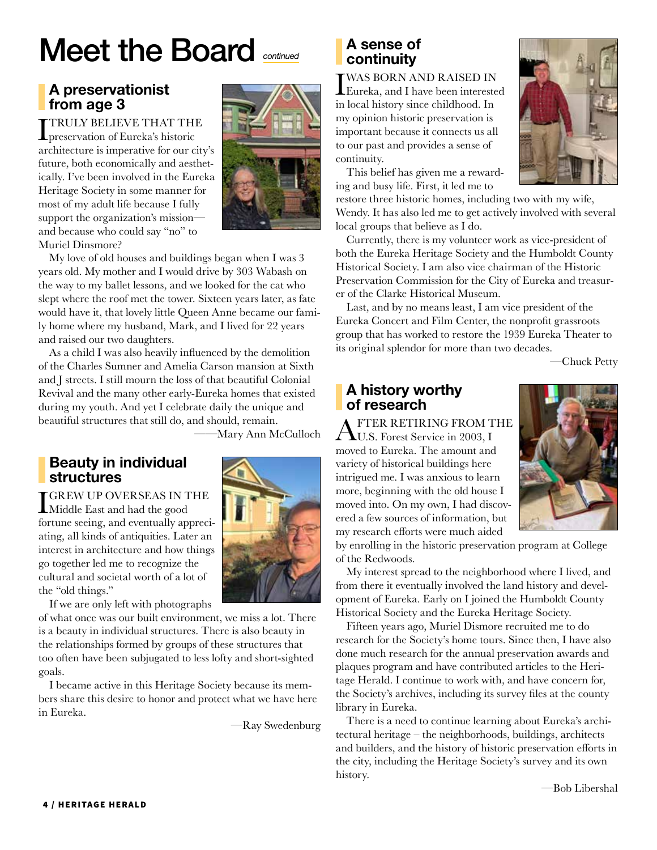# Meet the Board *continued*

# A preservationist from age 3

TTRULY BELIEVE THAT THE **L** preservation of Eureka's historic architecture is imperative for our city's future, both economically and aesthetically. I've been involved in the Eureka Heritage Society in some manner for most of my adult life because I fully support the organization's mission and because who could say "no" to Muriel Dinsmore?



My love of old houses and buildings began when I was 3 years old. My mother and I would drive by 303 Wabash on the way to my ballet lessons, and we looked for the cat who slept where the roof met the tower. Sixteen years later, as fate would have it, that lovely little Queen Anne became our family home where my husband, Mark, and I lived for 22 years and raised our two daughters.

As a child I was also heavily influenced by the demolition of the Charles Sumner and Amelia Carson mansion at Sixth and J streets. I still mourn the loss of that beautiful Colonial Revival and the many other early-Eureka homes that existed during my youth. And yet I celebrate daily the unique and beautiful structures that still do, and should, remain.

——Mary Ann McCulloch

## Beauty in individual structures

I GREW UP OVERSEAS IN THE Middle East and had the good fortune seeing, and eventually appreciating, all kinds of antiquities. Later an interest in architecture and how things go together led me to recognize the cultural and societal worth of a lot of the "old things."

If we are only left with photographs

of what once was our built environment, we miss a lot. There is a beauty in individual structures. There is also beauty in the relationships formed by groups of these structures that too often have been subjugated to less lofty and short-sighted goals.

I became active in this Heritage Society because its members share this desire to honor and protect what we have here in Eureka.

—Ray Swedenburg

## A sense of continuity

**I** WAS BORN AND RAISED IN<br>Eureka, and I have been interested in local history since childhood. In my opinion historic preservation is important because it connects us all to our past and provides a sense of continuity.

This belief has given me a rewarding and busy life. First, it led me to

restore three historic homes, including two with my wife, Wendy. It has also led me to get actively involved with several local groups that believe as I do.

Currently, there is my volunteer work as vice-president of both the Eureka Heritage Society and the Humboldt County Historical Society. I am also vice chairman of the Historic Preservation Commission for the City of Eureka and treasurer of the Clarke Historical Museum.

Last, and by no means least, I am vice president of the Eureka Concert and Film Center, the nonprofit grassroots group that has worked to restore the 1939 Eureka Theater to its original splendor for more than two decades.

—Chuck Petty

# A history worthy of research

FTER RETIRING FROM THE U.S. Forest Service in 2003, I moved to Eureka. The amount and variety of historical buildings here intrigued me. I was anxious to learn more, beginning with the old house I moved into. On my own, I had discovered a few sources of information, but my research efforts were much aided



by enrolling in the historic preservation program at College of the Redwoods.

My interest spread to the neighborhood where I lived, and from there it eventually involved the land history and development of Eureka. Early on I joined the Humboldt County Historical Society and the Eureka Heritage Society.

Fifteen years ago, Muriel Dismore recruited me to do research for the Society's home tours. Since then, I have also done much research for the annual preservation awards and plaques program and have contributed articles to the Heritage Herald. I continue to work with, and have concern for, the Society's archives, including its survey files at the county library in Eureka.

There is a need to continue learning about Eureka's architectural heritage – the neighborhoods, buildings, architects and builders, and the history of historic preservation efforts in the city, including the Heritage Society's survey and its own history.

—Bob Libershal

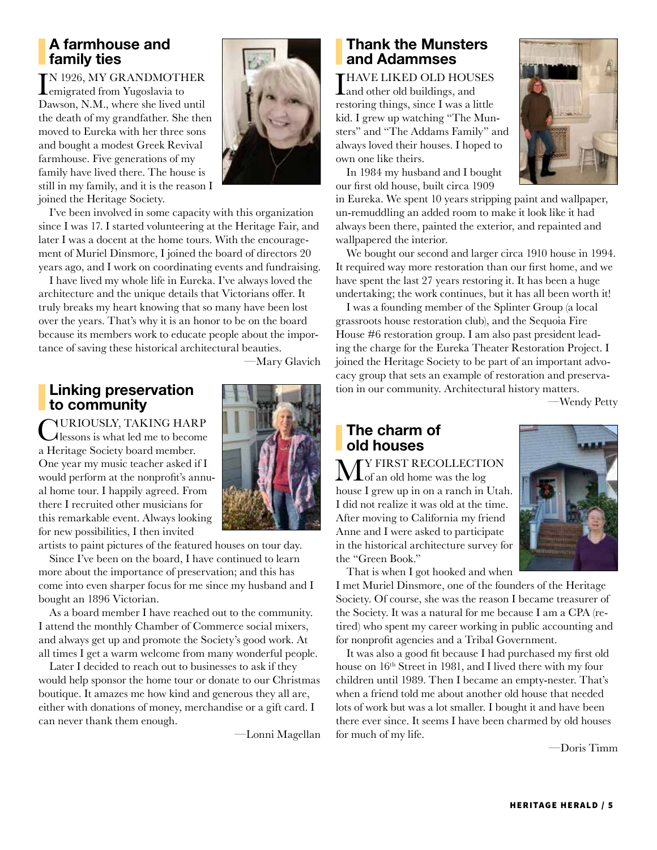## A farmhouse and family ties

IN 1926, MY GRANDMOTH<br>
emigrated from Yugoslavia to TN 1926, MY GRANDMOTHER Dawson, N.M., where she lived until the death of my grandfather. She then moved to Eureka with her three sons and bought a modest Greek Revival farmhouse. Five generations of my family have lived there. The house is still in my family, and it is the reason I joined the Heritage Society.



I've been involved in some capacity with this organization since I was 17. I started volunteering at the Heritage Fair, and later I was a docent at the home tours. With the encouragement of Muriel Dinsmore, I joined the board of directors 20 years ago, and I work on coordinating events and fundraising.

I have lived my whole life in Eureka. I've always loved the architecture and the unique details that Victorians offer. It truly breaks my heart knowing that so many have been lost over the years. That's why it is an honor to be on the board because its members work to educate people about the importance of saving these historical architectural beauties.

# Linking preservation

to community CURIOUSLY, TAKING HARP<br>
Lessons is what led me to become a Heritage Society board member. One year my music teacher asked if I would perform at the nonprofit's annual home tour. I happily agreed. From there I recruited other musicians for this remarkable event. Always looking for new possibilities, I then invited

artists to paint pictures of the featured houses on tour day.

Since I've been on the board, I have continued to learn more about the importance of preservation; and this has come into even sharper focus for me since my husband and I bought an 1896 Victorian.

As a board member I have reached out to the community. I attend the monthly Chamber of Commerce social mixers, and always get up and promote the Society's good work. At all times I get a warm welcome from many wonderful people.

Later I decided to reach out to businesses to ask if they would help sponsor the home tour or donate to our Christmas boutique. It amazes me how kind and generous they all are, either with donations of money, merchandise or a gift card. I can never thank them enough.

—Lonni Magellan

## Thank the Munsters and Adammses

THAVE LIKED OLD HOUSES **L**and other old buildings, and restoring things, since I was a little kid. I grew up watching "The Munsters" and "The Addams Family" and always loved their houses. I hoped to own one like theirs.

In 1984 my husband and I bought our first old house, built circa 1909

in Eureka. We spent 10 years stripping paint and wallpaper, un-remuddling an added room to make it look like it had always been there, painted the exterior, and repainted and wallpapered the interior.

We bought our second and larger circa 1910 house in 1994. It required way more restoration than our first home, and we have spent the last 27 years restoring it. It has been a huge undertaking; the work continues, but it has all been worth it!

I was a founding member of the Splinter Group (a local grassroots house restoration club), and the Sequoia Fire House #6 restoration group. I am also past president leading the charge for the Eureka Theater Restoration Project. I joined the Heritage Society to be part of an important advocacy group that sets an example of restoration and preservation in our community. Architectural history matters.

—Wendy Petty

## The charm of old houses

**M** If IRST RECOLLECTION house I grew up in on a ranch in Utah. I did not realize it was old at the time. After moving to California my friend Anne and I were asked to participate in the historical architecture survey for the "Green Book."



That is when I got hooked and when

I met Muriel Dinsmore, one of the founders of the Heritage Society. Of course, she was the reason I became treasurer of the Society. It was a natural for me because I am a CPA (retired) who spent my career working in public accounting and for nonprofit agencies and a Tribal Government.

It was also a good fit because I had purchased my first old house on  $16<sup>th</sup>$  Street in 1981, and I lived there with my four children until 1989. Then I became an empty-nester. That's when a friend told me about another old house that needed lots of work but was a lot smaller. I bought it and have been there ever since. It seems I have been charmed by old houses for much of my life.

—Doris Timm



—Mary Glavich

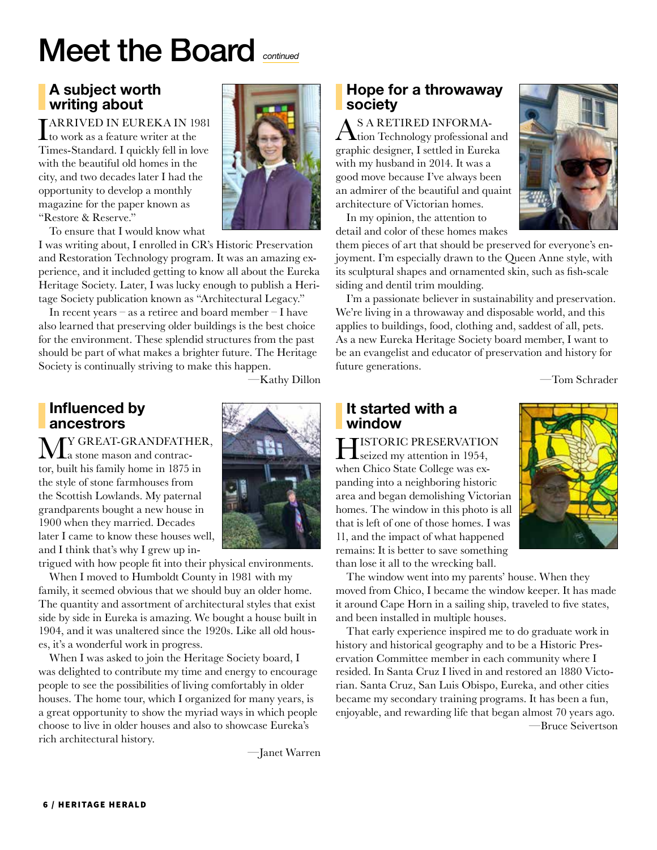# Meet the Board *continued*

# A subject worth writing about

**I ARRIVED IN EUREKA IN 1981**<br>to work as a feature writer at the Times-Standard. I quickly fell in love with the beautiful old homes in the city, and two decades later I had the opportunity to develop a monthly magazine for the paper known as "Restore & Reserve."

To ensure that I would know what

I was writing about, I enrolled in CR's Historic Preservation and Restoration Technology program. It was an amazing experience, and it included getting to know all about the Eureka Heritage Society. Later, I was lucky enough to publish a Heritage Society publication known as "Architectural Legacy."

In recent years – as a retiree and board member – I have also learned that preserving older buildings is the best choice for the environment. These splendid structures from the past should be part of what makes a brighter future. The Heritage Society is continually striving to make this happen.

—Kathy Dillon

### Influenced by ancestrors

 $\mathbf{M}_{\text{a stone mason and contra-}}^{\text{Y GREAT-GRAPHER},}$ tor, built his family home in 1875 in the style of stone farmhouses from the Scottish Lowlands. My paternal grandparents bought a new house in 1900 when they married. Decades later I came to know these houses well, and I think that's why I grew up in-

trigued with how people fit into their physical environments.

When I moved to Humboldt County in 1981 with my family, it seemed obvious that we should buy an older home. The quantity and assortment of architectural styles that exist side by side in Eureka is amazing. We bought a house built in 1904, and it was unaltered since the 1920s. Like all old houses, it's a wonderful work in progress.

When I was asked to join the Heritage Society board, I was delighted to contribute my time and energy to encourage people to see the possibilities of living comfortably in older houses. The home tour, which I organized for many years, is a great opportunity to show the myriad ways in which people choose to live in older houses and also to showcase Eureka's rich architectural history.

—Janet Warren

### Hope for a throwaway society

AS A RETIRED INFORMA-tion Technology professional and graphic designer, I settled in Eureka with my husband in 2014. It was a good move because I've always been an admirer of the beautiful and quaint architecture of Victorian homes.

In my opinion, the attention to detail and color of these homes makes



them pieces of art that should be preserved for everyone's enjoyment. I'm especially drawn to the Queen Anne style, with its sculptural shapes and ornamented skin, such as fish-scale siding and dentil trim moulding.

I'm a passionate believer in sustainability and preservation. We're living in a throwaway and disposable world, and this applies to buildings, food, clothing and, saddest of all, pets. As a new Eureka Heritage Society board member, I want to be an evangelist and educator of preservation and history for future generations.

—Tom Schrader

### It started with a window

**HISTORIC PRESERVATION**<br>
seized my attention in 1954, when Chico State College was expanding into a neighboring historic area and began demolishing Victorian homes. The window in this photo is all that is left of one of those homes. I was 11, and the impact of what happened remains: It is better to save something than lose it all to the wrecking ball.



The window went into my parents' house. When they moved from Chico, I became the window keeper. It has made it around Cape Horn in a sailing ship, traveled to five states, and been installed in multiple houses.

That early experience inspired me to do graduate work in history and historical geography and to be a Historic Preservation Committee member in each community where I resided. In Santa Cruz I lived in and restored an 1880 Victorian. Santa Cruz, San Luis Obispo, Eureka, and other cities became my secondary training programs. It has been a fun, enjoyable, and rewarding life that began almost 70 years ago. —Bruce Seivertson

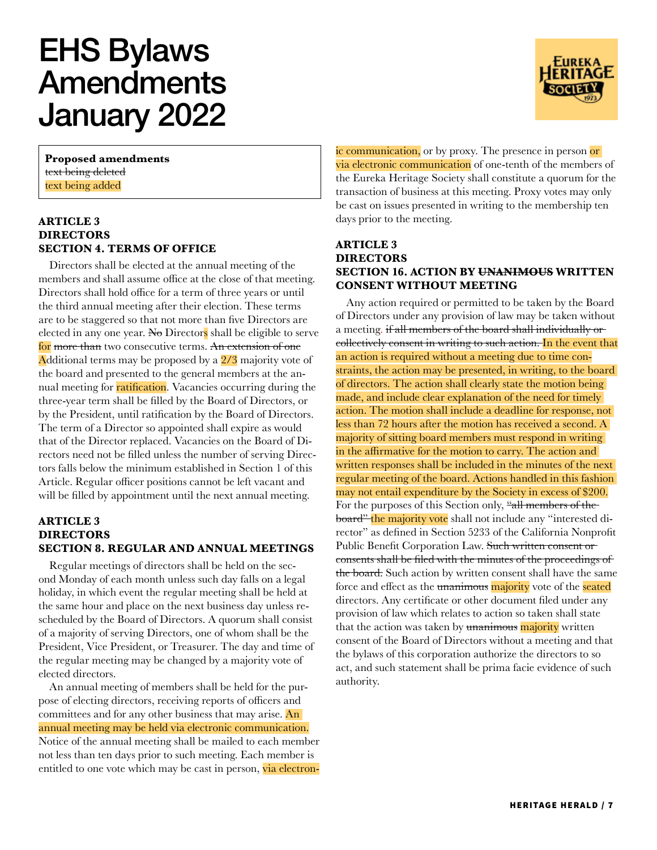# EHS Bylaws Amendments January 2022

**Proposed amendments** text being deleted text being added

#### **ARTICLE 3 DIRECTORS SECTION 4. TERMS OF OFFICE**

Directors shall be elected at the annual meeting of the members and shall assume office at the close of that meeting. Directors shall hold office for a term of three years or until the third annual meeting after their election. These terms are to be staggered so that not more than five Directors are elected in any one year. No Directors shall be eligible to serve for more than two consecutive terms. An extension of one Additional terms may be proposed by a 2/3 majority vote of the board and presented to the general members at the annual meeting for ratification. Vacancies occurring during the three-year term shall be filled by the Board of Directors, or by the President, until ratification by the Board of Directors. The term of a Director so appointed shall expire as would that of the Director replaced. Vacancies on the Board of Directors need not be filled unless the number of serving Directors falls below the minimum established in Section 1 of this Article. Regular officer positions cannot be left vacant and will be filled by appointment until the next annual meeting.

#### **ARTICLE 3 DIRECTORS SECTION 8. REGULAR AND ANNUAL MEETINGS**

Regular meetings of directors shall be held on the second Monday of each month unless such day falls on a legal holiday, in which event the regular meeting shall be held at the same hour and place on the next business day unless rescheduled by the Board of Directors. A quorum shall consist of a majority of serving Directors, one of whom shall be the President, Vice President, or Treasurer. The day and time of the regular meeting may be changed by a majority vote of elected directors.

An annual meeting of members shall be held for the purpose of electing directors, receiving reports of officers and committees and for any other business that may arise. An annual meeting may be held via electronic communication. Notice of the annual meeting shall be mailed to each member not less than ten days prior to such meeting. Each member is entitled to one vote which may be cast in person, via electronic communication, or by proxy. The presence in person or via electronic communication of one-tenth of the members of the Eureka Heritage Society shall constitute a quorum for the transaction of business at this meeting. Proxy votes may only be cast on issues presented in writing to the membership ten days prior to the meeting.

#### **ARTICLE 3 DIRECTORS SECTION 16. ACTION BY UNANIMOUS WRITTEN CONSENT WITHOUT MEETING**

Any action required or permitted to be taken by the Board of Directors under any provision of law may be taken without a meeting. if all members of the board shall individually or collectively consent in writing to such action. In the event that an action is required without a meeting due to time constraints, the action may be presented, in writing, to the board of directors. The action shall clearly state the motion being made, and include clear explanation of the need for timely action. The motion shall include a deadline for response, not less than 72 hours after the motion has received a second. A majority of sitting board members must respond in writing in the affirmative for the motion to carry. The action and written responses shall be included in the minutes of the next regular meeting of the board. Actions handled in this fashion may not entail expenditure by the Society in excess of \$200. For the purposes of this Section only, "all members of theboard" the majority vote shall not include any "interested director" as defined in Section 5233 of the California Nonprofit Public Benefit Corporation Law. Such written consent or consents shall be filed with the minutes of the proceedings of the board. Such action by written consent shall have the same force and effect as the unanimous majority vote of the seated directors. Any certificate or other document filed under any provision of law which relates to action so taken shall state that the action was taken by unanimous majority written consent of the Board of Directors without a meeting and that the bylaws of this corporation authorize the directors to so act, and such statement shall be prima facie evidence of such authority.

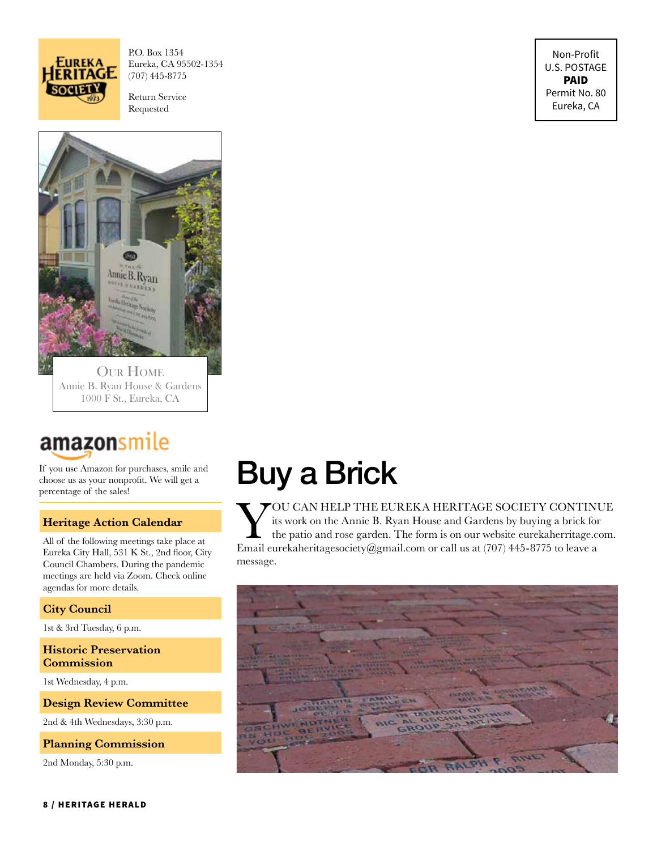

P.O. Box 1354 Eureka, CA 95502-1354 (707) 445-8775

Return Service Requested

Non-Profit U.S. POSTAGE PAID Permit No. 80 Eureka, CA



Annie B. Ryan House & Gardens 1000 F St., Eureka, CA

# amazonsmile

If you use Amazon for purchases, smile and choose us as your nonprofit. We will get a percentage of the sales!

#### **Heritage Action Calendar**

All of the following meetings take place at Eureka City Hall, 531 K St., 2nd floor, City Council Chambers. During the pandemic meetings are held via Zoom. Check online agendas for more details.

#### **City Council**

1st & 3rd Tuesday, 6 p.m.

**Historic Preservation Commission**

1st Wednesday, 4 p.m.

#### **Design Review Committee**

2nd & 4th Wednesdays, 3:30 p.m.

#### **Planning Commission**

2nd Monday, 5:30 p.m.

# Buy a Brick

VOU CAN HELP THE EUREKA HERITAGE SOCIETY CONTINUE<br>its work on the Annie B. Ryan House and Gardens by buying a brick for<br>the patio and rose garden. The form is on our website eurekaherritage.com.<br>Email eurekaherritagesociet its work on the Annie B. Ryan House and Gardens by buying a brick for the patio and rose garden. The form is on our website eurekaherritage.com. Email eurekaheritagesociety@gmail.com or call us at (707) 445-8775 to leave a message.

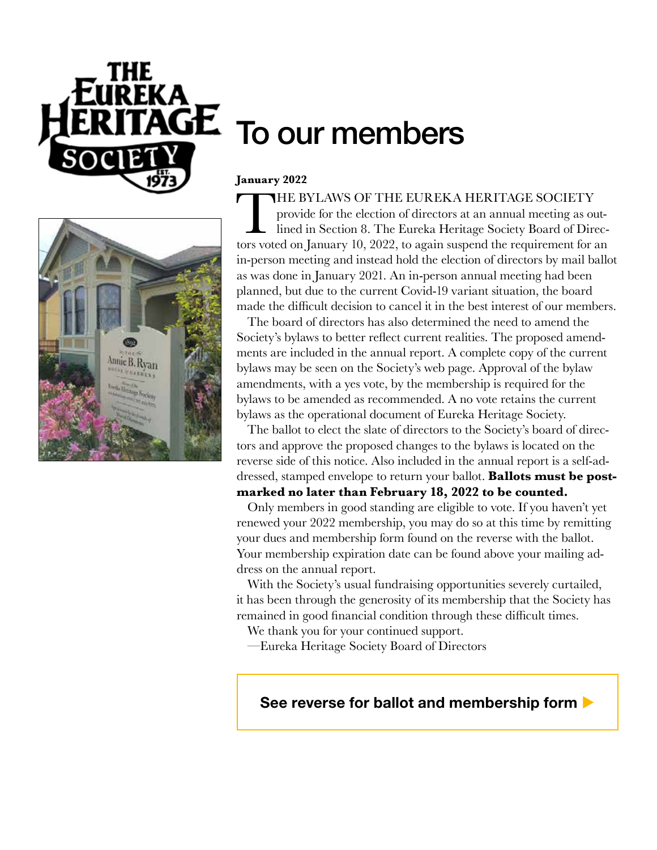



# To our members

#### **January 2022**

THE BYLAWS OF THE EUREKA HERITAGE SOCIETY<br>provide for the election of directors at an annual meeting as or<br>lined in Section 8. The Eureka Heritage Society Board of Dire<br>tors voted on Ianuary 10, 2022, to again suspend the provide for the election of directors at an annual meeting as outlined in Section 8. The Eureka Heritage Society Board of Directors voted on January 10, 2022, to again suspend the requirement for an in-person meeting and instead hold the election of directors by mail ballot as was done in January 2021. An in-person annual meeting had been planned, but due to the current Covid-19 variant situation, the board made the difficult decision to cancel it in the best interest of our members.

The board of directors has also determined the need to amend the Society's bylaws to better reflect current realities. The proposed amendments are included in the annual report. A complete copy of the current bylaws may be seen on the Society's web page. Approval of the bylaw amendments, with a yes vote, by the membership is required for the bylaws to be amended as recommended. A no vote retains the current bylaws as the operational document of Eureka Heritage Society.

The ballot to elect the slate of directors to the Society's board of directors and approve the proposed changes to the bylaws is located on the reverse side of this notice. Also included in the annual report is a self-addressed, stamped envelope to return your ballot. **Ballots must be postmarked no later than February 18, 2022 to be counted.**

Only members in good standing are eligible to vote. If you haven't yet renewed your 2022 membership, you may do so at this time by remitting your dues and membership form found on the reverse with the ballot. Your membership expiration date can be found above your mailing address on the annual report.

With the Society's usual fundraising opportunities severely curtailed, it has been through the generosity of its membership that the Society has remained in good financial condition through these difficult times.

We thank you for your continued support.

—Eureka Heritage Society Board of Directors

## See reverse for ballot and membership form